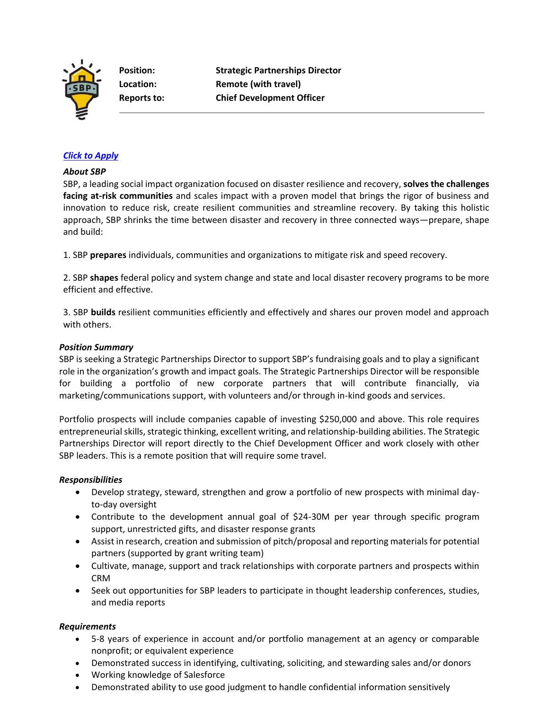

**Position: Strategic Partnerships Director Location: Remote (with travel) Reports to: Chief Development Officer**

## *[Click to Apply](https://recruiting.paylocity.com/recruiting/jobs/Apply/1125608/SBP/Director-of-Strategic-Partnerships)*

#### *About SBP*

SBP, a leading social impact organization focused on disaster resilience and recovery, **solves the challenges facing at-risk communities** and scales impact with a proven model that brings the rigor of business and innovation to reduce risk, create resilient communities and streamline recovery. By taking this holistic approach, SBP shrinks the time between disaster and recovery in three connected ways—prepare, shape and build:

1. SBP **prepares** individuals, communities and organizations to mitigate risk and speed recovery.

2. SBP **shapes** federal policy and system change and state and local disaster recovery programs to be more efficient and effective.

3. SBP **builds** resilient communities efficiently and effectively and shares our proven model and approach with others.

#### *Position Summary*

SBP is seeking a Strategic Partnerships Director to support SBP's fundraising goals and to play a significant role in the organization's growth and impact goals. The Strategic Partnerships Director will be responsible for building a portfolio of new corporate partners that will contribute financially, via marketing/communications support, with volunteers and/or through in-kind goods and services.

Portfolio prospects will include companies capable of investing \$250,000 and above. This role requires entrepreneurial skills, strategic thinking, excellent writing, and relationship-building abilities. The Strategic Partnerships Director will report directly to the Chief Development Officer and work closely with other SBP leaders. This is a remote position that will require some travel.

### *Responsibilities*

- Develop strategy, steward, strengthen and grow a portfolio of new prospects with minimal dayto-day oversight
- Contribute to the development annual goal of \$24-30M per year through specific program support, unrestricted gifts, and disaster response grants
- Assist in research, creation and submission of pitch/proposal and reporting materials for potential partners (supported by grant writing team)
- Cultivate, manage, support and track relationships with corporate partners and prospects within CRM
- Seek out opportunities for SBP leaders to participate in thought leadership conferences, studies, and media reports

### *Requirements*

- 5-8 years of experience in account and/or portfolio management at an agency or comparable nonprofit; or equivalent experience
- Demonstrated success in identifying, cultivating, soliciting, and stewarding sales and/or donors
- Working knowledge of Salesforce
- Demonstrated ability to use good judgment to handle confidential information sensitively